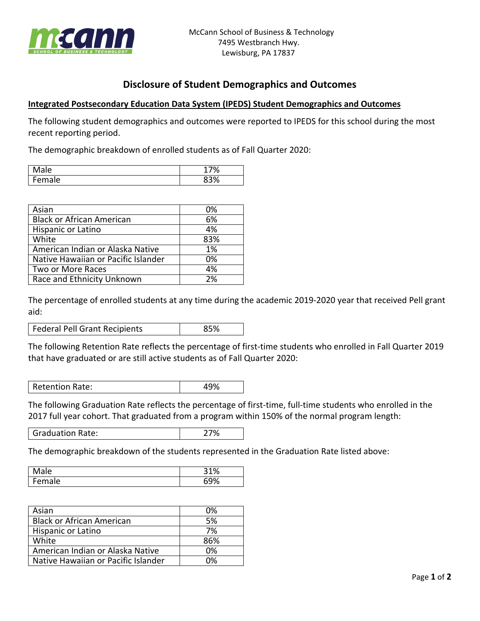

## **Disclosure of Student Demographics and Outcomes**

## **Integrated Postsecondary Education Data System (IPEDS) Student Demographics and Outcomes**

The following student demographics and outcomes were reported to IPEDS for this school during the most recent reporting period.

The demographic breakdown of enrolled students as of Fall Quarter 2020:

| ale                | 7%         |
|--------------------|------------|
| -<br>۵۱<br>◡<br>uı | 0.20<br>70 |

| Asian                               | 0%  |
|-------------------------------------|-----|
| <b>Black or African American</b>    | 6%  |
| Hispanic or Latino                  | 4%  |
| White                               | 83% |
| American Indian or Alaska Native    | 1%  |
| Native Hawaiian or Pacific Islander | 0%  |
| Two or More Races                   | 4%  |
| Race and Ethnicity Unknown          | 2%  |

The percentage of enrolled students at any time during the academic 2019-2020 year that received Pell grant aid:

Federal Pell Grant Recipients | 85%

The following Retention Rate reflects the percentage of first-time students who enrolled in Fall Quarter 2019 that have graduated or are still active students as of Fall Quarter 2020:

Retention Rate: 49%

The following Graduation Rate reflects the percentage of first-time, full-time students who enrolled in the 2017 full year cohort. That graduated from a program within 150% of the normal program length:

Graduation Rate: 27%

The demographic breakdown of the students represented in the Graduation Rate listed above:

| ale                 | 31%  |
|---------------------|------|
| -<br>۱۵<br>aic<br>∽ | ∕ە∩: |

| Asian                               | 0%  |
|-------------------------------------|-----|
| <b>Black or African American</b>    | 5%  |
| Hispanic or Latino                  | 7%  |
| White                               | 86% |
| American Indian or Alaska Native    | 0%  |
| Native Hawaiian or Pacific Islander | በ%  |